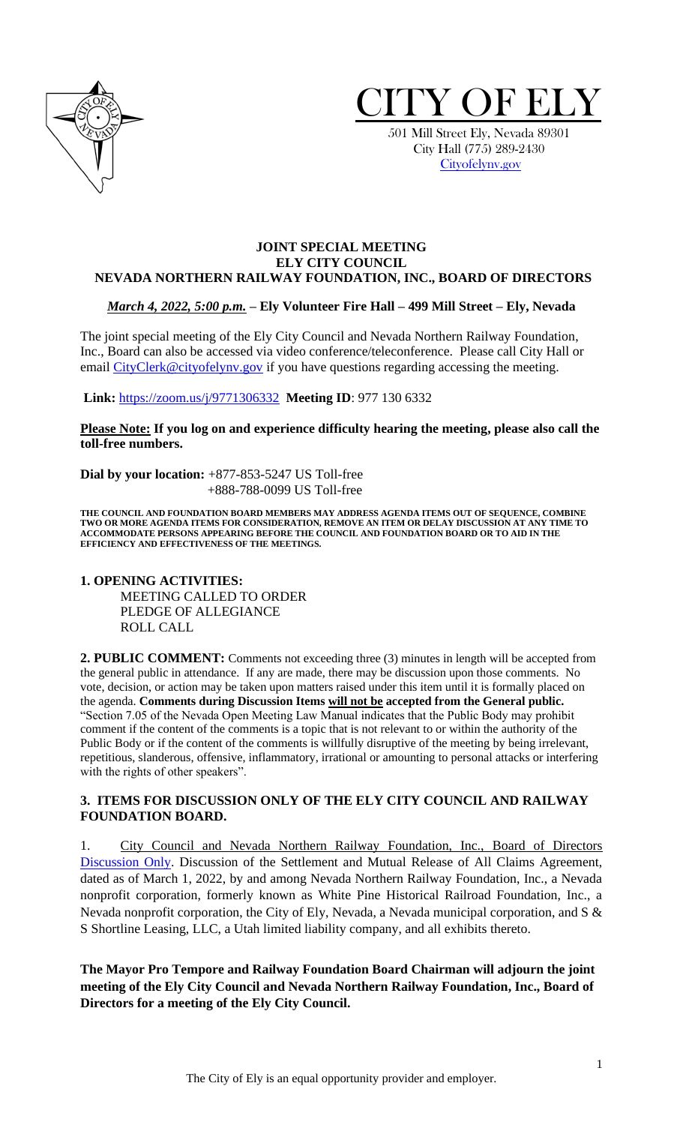



 501 Mill Street Ely, Nevada 89301 City Hall (775) 289-2430 [Cityofelynv.gov](mailto:Cityofelynv.gov)

#### **JOINT SPECIAL MEETING ELY CITY COUNCIL NEVADA NORTHERN RAILWAY FOUNDATION, INC., BOARD OF DIRECTORS**

# *March 4, 2022, 5:00 p.m.* **– Ely Volunteer Fire Hall – 499 Mill Street – Ely, Nevada**

The joint special meeting of the Ely City Council and Nevada Northern Railway Foundation, Inc., Board can also be accessed via video conference/teleconference. Please call City Hall or email [CityClerk@cityofelynv.gov](mailto:CityClerk@cityofelynv.gov) if you have questions regarding accessing the meeting.

**Link:** [https://zoom.us/j/9771306332](https://zoom.us/j/9771306332?status=success) **Meeting ID**: 977 130 6332

**Please Note: If you log on and experience difficulty hearing the meeting, please also call the toll-free numbers.** 

**Dial by your location:** +877-853-5247 US Toll-free +888-788-0099 US Toll-free

**THE COUNCIL AND FOUNDATION BOARD MEMBERS MAY ADDRESS AGENDA ITEMS OUT OF SEQUENCE, COMBINE TWO OR MORE AGENDA ITEMS FOR CONSIDERATION, REMOVE AN ITEM OR DELAY DISCUSSION AT ANY TIME TO ACCOMMODATE PERSONS APPEARING BEFORE THE COUNCIL AND FOUNDATION BOARD OR TO AID IN THE EFFICIENCY AND EFFECTIVENESS OF THE MEETINGS.**

### **1. OPENING ACTIVITIES:**  MEETING CALLED TO ORDER PLEDGE OF ALLEGIANCE ROLL CALL

**2. PUBLIC COMMENT:** Comments not exceeding three (3) minutes in length will be accepted from the general public in attendance. If any are made, there may be discussion upon those comments. No vote, decision, or action may be taken upon matters raised under this item until it is formally placed on the agenda. **Comments during Discussion Items will not be accepted from the General public.**  "Section 7.05 of the Nevada Open Meeting Law Manual indicates that the Public Body may prohibit comment if the content of the comments is a topic that is not relevant to or within the authority of the Public Body or if the content of the comments is willfully disruptive of the meeting by being irrelevant, repetitious, slanderous, offensive, inflammatory, irrational or amounting to personal attacks or interfering with the rights of other speakers".

### **3. ITEMS FOR DISCUSSION ONLY OF THE ELY CITY COUNCIL AND RAILWAY FOUNDATION BOARD.**

1. City Council and Nevada Northern Railway Foundation, Inc., Board of Directors [Discussion Only.](https://www.cityofelynv.gov/pdf/CityCouncil2022/cc3-4-22/SSSettlementAgreement-SSExecutedCounterpart) Discussion of the Settlement and Mutual Release of All Claims Agreement, dated as of March 1, 2022, by and among Nevada Northern Railway Foundation, Inc., a Nevada nonprofit corporation, formerly known as White Pine Historical Railroad Foundation, Inc., a Nevada nonprofit corporation, the City of Ely, Nevada, a Nevada municipal corporation, and S & S Shortline Leasing, LLC, a Utah limited liability company, and all exhibits thereto.

**The Mayor Pro Tempore and Railway Foundation Board Chairman will adjourn the joint meeting of the Ely City Council and Nevada Northern Railway Foundation, Inc., Board of Directors for a meeting of the Ely City Council.**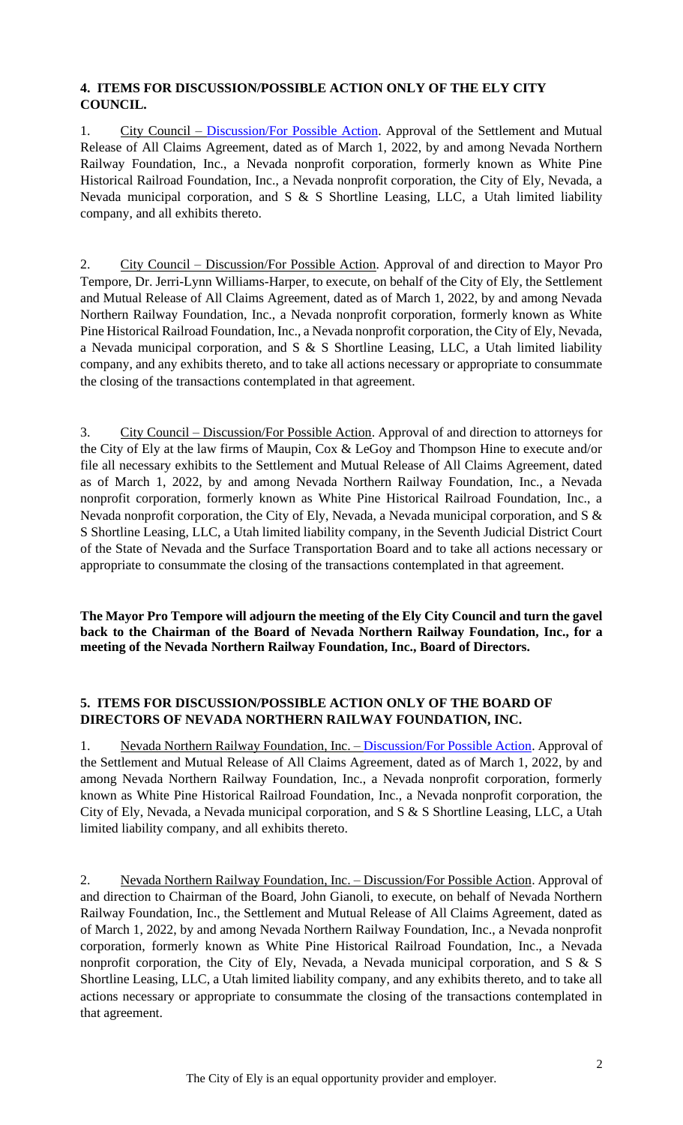# **4. ITEMS FOR DISCUSSION/POSSIBLE ACTION ONLY OF THE ELY CITY COUNCIL.**

1. City Council – [Discussion/For Possible Action.](https://www.cityofelynv.gov/pdf/CityCouncil2022/cc3-4-22/SSSettlementAgreement-SSExecutedCounterpart) Approval of the Settlement and Mutual Release of All Claims Agreement, dated as of March 1, 2022, by and among Nevada Northern Railway Foundation, Inc., a Nevada nonprofit corporation, formerly known as White Pine Historical Railroad Foundation, Inc., a Nevada nonprofit corporation, the City of Ely, Nevada, a Nevada municipal corporation, and S & S Shortline Leasing, LLC, a Utah limited liability company, and all exhibits thereto.

2. City Council – Discussion/For Possible Action. Approval of and direction to Mayor Pro Tempore, Dr. Jerri-Lynn Williams-Harper, to execute, on behalf of the City of Ely, the Settlement and Mutual Release of All Claims Agreement, dated as of March 1, 2022, by and among Nevada Northern Railway Foundation, Inc., a Nevada nonprofit corporation, formerly known as White Pine Historical Railroad Foundation, Inc., a Nevada nonprofit corporation, the City of Ely, Nevada, a Nevada municipal corporation, and S & S Shortline Leasing, LLC, a Utah limited liability company, and any exhibits thereto, and to take all actions necessary or appropriate to consummate the closing of the transactions contemplated in that agreement.

3. City Council – Discussion/For Possible Action. Approval of and direction to attorneys for the City of Ely at the law firms of Maupin, Cox & LeGoy and Thompson Hine to execute and/or file all necessary exhibits to the Settlement and Mutual Release of All Claims Agreement, dated as of March 1, 2022, by and among Nevada Northern Railway Foundation, Inc., a Nevada nonprofit corporation, formerly known as White Pine Historical Railroad Foundation, Inc., a Nevada nonprofit corporation, the City of Ely, Nevada, a Nevada municipal corporation, and S & S Shortline Leasing, LLC, a Utah limited liability company, in the Seventh Judicial District Court of the State of Nevada and the Surface Transportation Board and to take all actions necessary or appropriate to consummate the closing of the transactions contemplated in that agreement.

**The Mayor Pro Tempore will adjourn the meeting of the Ely City Council and turn the gavel back to the Chairman of the Board of Nevada Northern Railway Foundation, Inc., for a meeting of the Nevada Northern Railway Foundation, Inc., Board of Directors.** 

# **5. ITEMS FOR DISCUSSION/POSSIBLE ACTION ONLY OF THE BOARD OF DIRECTORS OF NEVADA NORTHERN RAILWAY FOUNDATION, INC.**

1. Nevada Northern Railway Foundation, Inc. – [Discussion/For Possible Action.](https://www.cityofelynv.gov/pdf/CityCouncil2022/cc3-4-22/SSSettlementAgreement-SSExecutedCounterpart) Approval of the Settlement and Mutual Release of All Claims Agreement, dated as of March 1, 2022, by and among Nevada Northern Railway Foundation, Inc., a Nevada nonprofit corporation, formerly known as White Pine Historical Railroad Foundation, Inc., a Nevada nonprofit corporation, the City of Ely, Nevada, a Nevada municipal corporation, and S & S Shortline Leasing, LLC, a Utah limited liability company, and all exhibits thereto.

2. Nevada Northern Railway Foundation, Inc. – Discussion/For Possible Action. Approval of and direction to Chairman of the Board, John Gianoli, to execute, on behalf of Nevada Northern Railway Foundation, Inc., the Settlement and Mutual Release of All Claims Agreement, dated as of March 1, 2022, by and among Nevada Northern Railway Foundation, Inc., a Nevada nonprofit corporation, formerly known as White Pine Historical Railroad Foundation, Inc., a Nevada nonprofit corporation, the City of Ely, Nevada, a Nevada municipal corporation, and S & S Shortline Leasing, LLC, a Utah limited liability company, and any exhibits thereto, and to take all actions necessary or appropriate to consummate the closing of the transactions contemplated in that agreement.